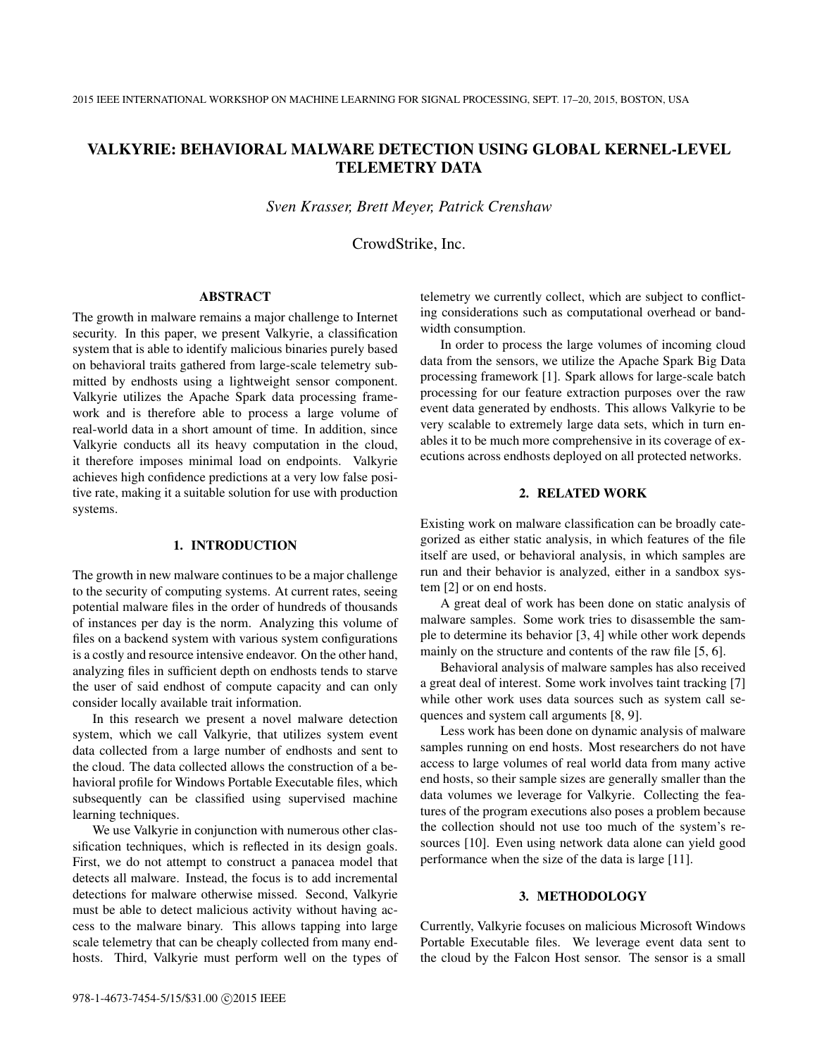# VALKYRIE: BEHAVIORAL MALWARE DETECTION USING GLOBAL KERNEL-LEVEL TELEMETRY DATA

*Sven Krasser, Brett Meyer, Patrick Crenshaw*

CrowdStrike, Inc.

# ABSTRACT

The growth in malware remains a major challenge to Internet security. In this paper, we present Valkyrie, a classification system that is able to identify malicious binaries purely based on behavioral traits gathered from large-scale telemetry submitted by endhosts using a lightweight sensor component. Valkyrie utilizes the Apache Spark data processing framework and is therefore able to process a large volume of real-world data in a short amount of time. In addition, since Valkyrie conducts all its heavy computation in the cloud, it therefore imposes minimal load on endpoints. Valkyrie achieves high confidence predictions at a very low false positive rate, making it a suitable solution for use with production systems.

# 1. INTRODUCTION

The growth in new malware continues to be a major challenge to the security of computing systems. At current rates, seeing potential malware files in the order of hundreds of thousands of instances per day is the norm. Analyzing this volume of files on a backend system with various system configurations is a costly and resource intensive endeavor. On the other hand, analyzing files in sufficient depth on endhosts tends to starve the user of said endhost of compute capacity and can only consider locally available trait information.

In this research we present a novel malware detection system, which we call Valkyrie, that utilizes system event data collected from a large number of endhosts and sent to the cloud. The data collected allows the construction of a behavioral profile for Windows Portable Executable files, which subsequently can be classified using supervised machine learning techniques.

We use Valkyrie in conjunction with numerous other classification techniques, which is reflected in its design goals. First, we do not attempt to construct a panacea model that detects all malware. Instead, the focus is to add incremental detections for malware otherwise missed. Second, Valkyrie must be able to detect malicious activity without having access to the malware binary. This allows tapping into large scale telemetry that can be cheaply collected from many endhosts. Third, Valkyrie must perform well on the types of telemetry we currently collect, which are subject to conflicting considerations such as computational overhead or bandwidth consumption.

In order to process the large volumes of incoming cloud data from the sensors, we utilize the Apache Spark Big Data processing framework [1]. Spark allows for large-scale batch processing for our feature extraction purposes over the raw event data generated by endhosts. This allows Valkyrie to be very scalable to extremely large data sets, which in turn enables it to be much more comprehensive in its coverage of executions across endhosts deployed on all protected networks.

# 2. RELATED WORK

Existing work on malware classification can be broadly categorized as either static analysis, in which features of the file itself are used, or behavioral analysis, in which samples are run and their behavior is analyzed, either in a sandbox system [2] or on end hosts.

A great deal of work has been done on static analysis of malware samples. Some work tries to disassemble the sample to determine its behavior [3, 4] while other work depends mainly on the structure and contents of the raw file [5, 6].

Behavioral analysis of malware samples has also received a great deal of interest. Some work involves taint tracking [7] while other work uses data sources such as system call sequences and system call arguments [8, 9].

Less work has been done on dynamic analysis of malware samples running on end hosts. Most researchers do not have access to large volumes of real world data from many active end hosts, so their sample sizes are generally smaller than the data volumes we leverage for Valkyrie. Collecting the features of the program executions also poses a problem because the collection should not use too much of the system's resources [10]. Even using network data alone can yield good performance when the size of the data is large [11].

# 3. METHODOLOGY

Currently, Valkyrie focuses on malicious Microsoft Windows Portable Executable files. We leverage event data sent to the cloud by the Falcon Host sensor. The sensor is a small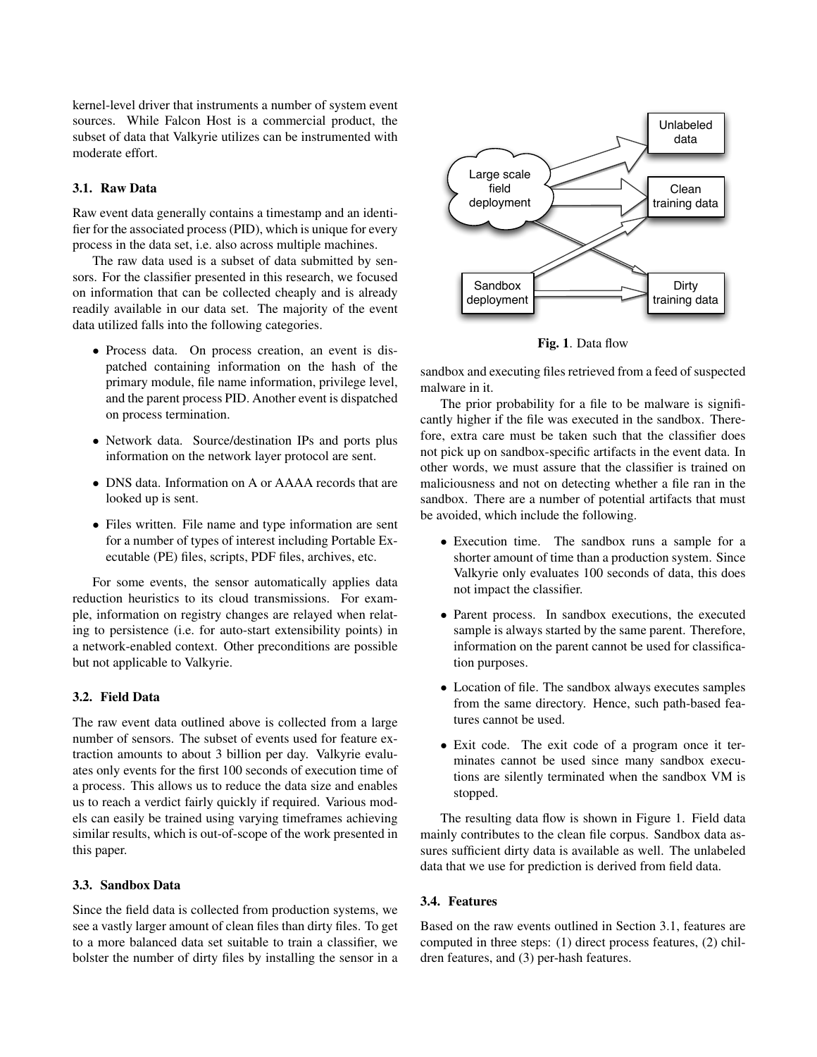kernel-level driver that instruments a number of system event sources. While Falcon Host is a commercial product, the subset of data that Valkyrie utilizes can be instrumented with moderate effort.

#### 3.1. Raw Data

Raw event data generally contains a timestamp and an identifier for the associated process (PID), which is unique for every process in the data set, i.e. also across multiple machines.

The raw data used is a subset of data submitted by sensors. For the classifier presented in this research, we focused on information that can be collected cheaply and is already readily available in our data set. The majority of the event data utilized falls into the following categories.

- Process data. On process creation, an event is dispatched containing information on the hash of the primary module, file name information, privilege level, and the parent process PID. Another event is dispatched on process termination.
- Network data. Source/destination IPs and ports plus information on the network layer protocol are sent.
- DNS data. Information on A or AAAA records that are looked up is sent.
- Files written. File name and type information are sent for a number of types of interest including Portable Executable (PE) files, scripts, PDF files, archives, etc.

For some events, the sensor automatically applies data reduction heuristics to its cloud transmissions. For example, information on registry changes are relayed when relating to persistence (i.e. for auto-start extensibility points) in a network-enabled context. Other preconditions are possible but not applicable to Valkyrie.

# 3.2. Field Data

The raw event data outlined above is collected from a large number of sensors. The subset of events used for feature extraction amounts to about 3 billion per day. Valkyrie evaluates only events for the first 100 seconds of execution time of a process. This allows us to reduce the data size and enables us to reach a verdict fairly quickly if required. Various models can easily be trained using varying timeframes achieving similar results, which is out-of-scope of the work presented in this paper.

#### 3.3. Sandbox Data

Since the field data is collected from production systems, we see a vastly larger amount of clean files than dirty files. To get to a more balanced data set suitable to train a classifier, we bolster the number of dirty files by installing the sensor in a



Fig. 1. Data flow

sandbox and executing files retrieved from a feed of suspected malware in it.

The prior probability for a file to be malware is significantly higher if the file was executed in the sandbox. Therefore, extra care must be taken such that the classifier does not pick up on sandbox-specific artifacts in the event data. In other words, we must assure that the classifier is trained on maliciousness and not on detecting whether a file ran in the sandbox. There are a number of potential artifacts that must be avoided, which include the following.

- Execution time. The sandbox runs a sample for a shorter amount of time than a production system. Since Valkyrie only evaluates 100 seconds of data, this does not impact the classifier.
- Parent process. In sandbox executions, the executed sample is always started by the same parent. Therefore, information on the parent cannot be used for classification purposes.
- Location of file. The sandbox always executes samples from the same directory. Hence, such path-based features cannot be used.
- Exit code. The exit code of a program once it terminates cannot be used since many sandbox executions are silently terminated when the sandbox VM is stopped.

The resulting data flow is shown in Figure 1. Field data mainly contributes to the clean file corpus. Sandbox data assures sufficient dirty data is available as well. The unlabeled data that we use for prediction is derived from field data.

#### 3.4. Features

Based on the raw events outlined in Section 3.1, features are computed in three steps: (1) direct process features, (2) children features, and (3) per-hash features.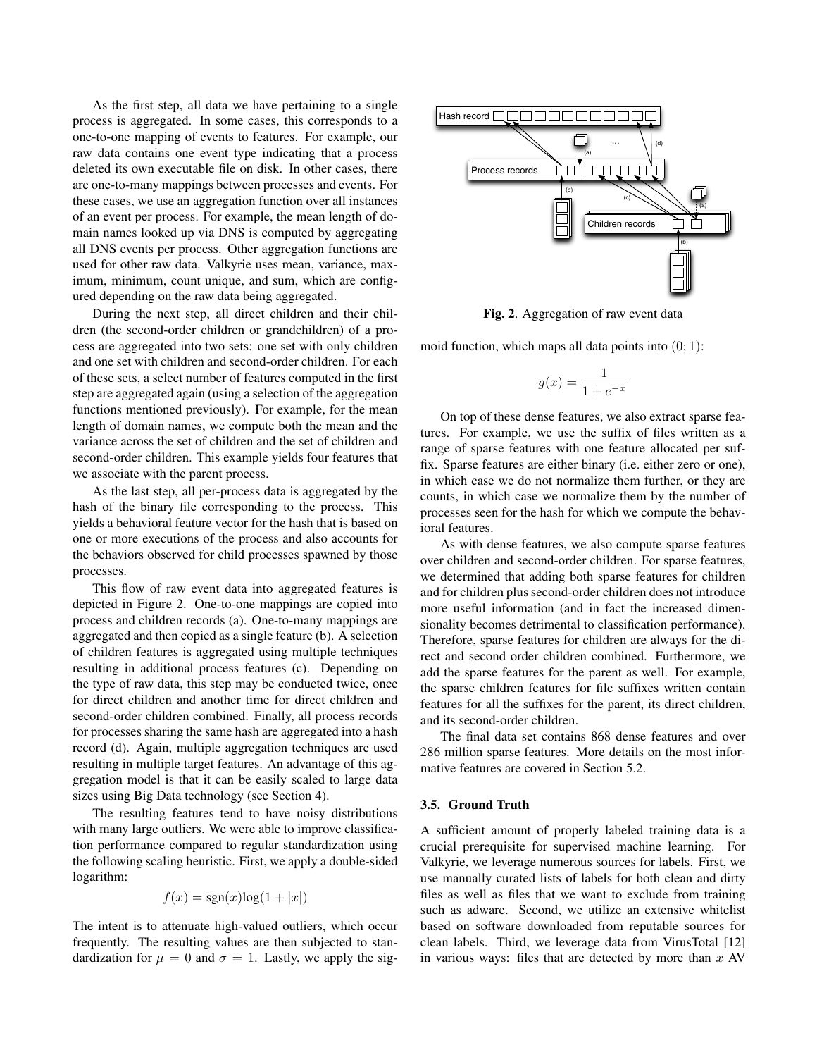As the first step, all data we have pertaining to a single process is aggregated. In some cases, this corresponds to a one-to-one mapping of events to features. For example, our raw data contains one event type indicating that a process deleted its own executable file on disk. In other cases, there are one-to-many mappings between processes and events. For these cases, we use an aggregation function over all instances of an event per process. For example, the mean length of domain names looked up via DNS is computed by aggregating all DNS events per process. Other aggregation functions are used for other raw data. Valkyrie uses mean, variance, maximum, minimum, count unique, and sum, which are configured depending on the raw data being aggregated.

During the next step, all direct children and their children (the second-order children or grandchildren) of a process are aggregated into two sets: one set with only children and one set with children and second-order children. For each of these sets, a select number of features computed in the first step are aggregated again (using a selection of the aggregation functions mentioned previously). For example, for the mean length of domain names, we compute both the mean and the variance across the set of children and the set of children and second-order children. This example yields four features that we associate with the parent process.

As the last step, all per-process data is aggregated by the hash of the binary file corresponding to the process. This yields a behavioral feature vector for the hash that is based on one or more executions of the process and also accounts for the behaviors observed for child processes spawned by those processes.

This flow of raw event data into aggregated features is depicted in Figure 2. One-to-one mappings are copied into process and children records (a). One-to-many mappings are aggregated and then copied as a single feature (b). A selection of children features is aggregated using multiple techniques resulting in additional process features (c). Depending on the type of raw data, this step may be conducted twice, once for direct children and another time for direct children and second-order children combined. Finally, all process records for processes sharing the same hash are aggregated into a hash record (d). Again, multiple aggregation techniques are used resulting in multiple target features. An advantage of this aggregation model is that it can be easily scaled to large data sizes using Big Data technology (see Section 4).

The resulting features tend to have noisy distributions with many large outliers. We were able to improve classification performance compared to regular standardization using the following scaling heuristic. First, we apply a double-sided logarithm:

$$
f(x) = \text{sgn}(x)\log(1+|x|)
$$

The intent is to attenuate high-valued outliers, which occur frequently. The resulting values are then subjected to standardization for  $\mu = 0$  and  $\sigma = 1$ . Lastly, we apply the sig-



Fig. 2. Aggregation of raw event data

moid function, which maps all data points into  $(0, 1)$ :

$$
g(x) = \frac{1}{1 + e^{-x}}
$$

On top of these dense features, we also extract sparse features. For example, we use the suffix of files written as a range of sparse features with one feature allocated per suffix. Sparse features are either binary (i.e. either zero or one), in which case we do not normalize them further, or they are counts, in which case we normalize them by the number of processes seen for the hash for which we compute the behavioral features.

As with dense features, we also compute sparse features over children and second-order children. For sparse features, we determined that adding both sparse features for children and for children plus second-order children does not introduce more useful information (and in fact the increased dimensionality becomes detrimental to classification performance). Therefore, sparse features for children are always for the direct and second order children combined. Furthermore, we add the sparse features for the parent as well. For example, the sparse children features for file suffixes written contain features for all the suffixes for the parent, its direct children, and its second-order children.

The final data set contains 868 dense features and over 286 million sparse features. More details on the most informative features are covered in Section 5.2.

## 3.5. Ground Truth

A sufficient amount of properly labeled training data is a crucial prerequisite for supervised machine learning. For Valkyrie, we leverage numerous sources for labels. First, we use manually curated lists of labels for both clean and dirty files as well as files that we want to exclude from training such as adware. Second, we utilize an extensive whitelist based on software downloaded from reputable sources for clean labels. Third, we leverage data from VirusTotal [12] in various ways: files that are detected by more than  $x$  AV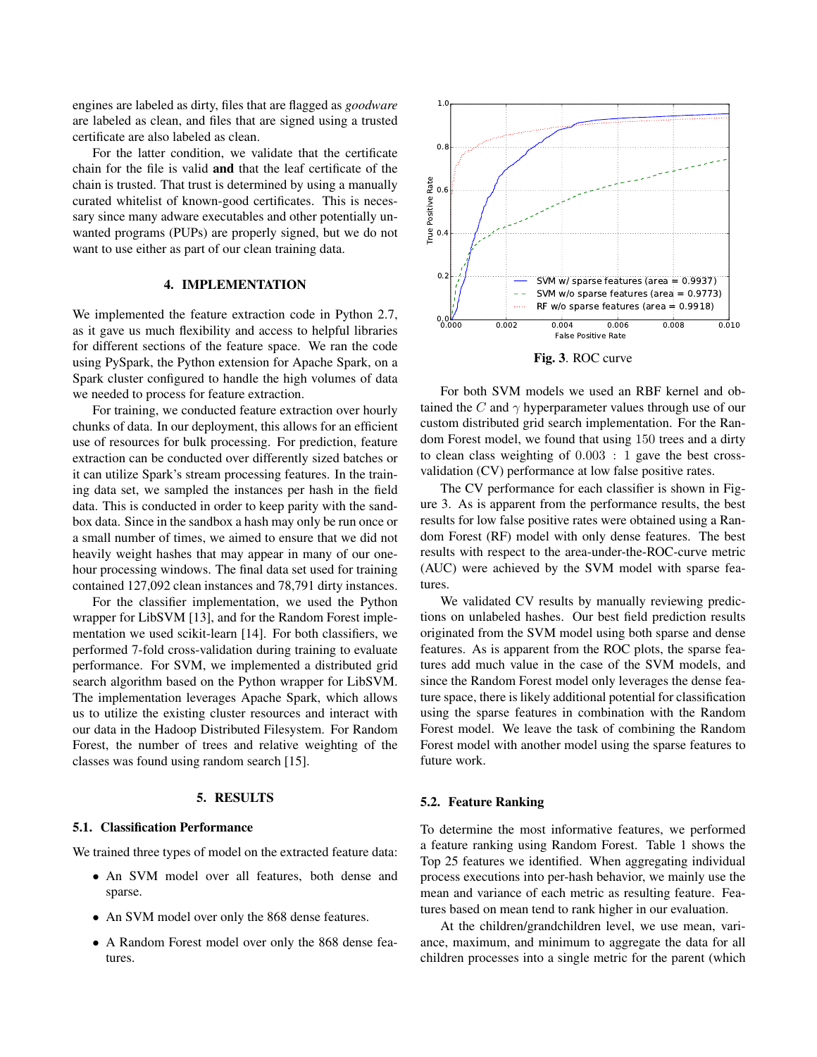engines are labeled as dirty, files that are flagged as *goodware* are labeled as clean, and files that are signed using a trusted certificate are also labeled as clean.

For the latter condition, we validate that the certificate chain for the file is valid and that the leaf certificate of the chain is trusted. That trust is determined by using a manually curated whitelist of known-good certificates. This is necessary since many adware executables and other potentially unwanted programs (PUPs) are properly signed, but we do not want to use either as part of our clean training data.

#### 4. IMPLEMENTATION

We implemented the feature extraction code in Python 2.7, as it gave us much flexibility and access to helpful libraries for different sections of the feature space. We ran the code using PySpark, the Python extension for Apache Spark, on a Spark cluster configured to handle the high volumes of data we needed to process for feature extraction.

For training, we conducted feature extraction over hourly chunks of data. In our deployment, this allows for an efficient use of resources for bulk processing. For prediction, feature extraction can be conducted over differently sized batches or it can utilize Spark's stream processing features. In the training data set, we sampled the instances per hash in the field data. This is conducted in order to keep parity with the sandbox data. Since in the sandbox a hash may only be run once or a small number of times, we aimed to ensure that we did not heavily weight hashes that may appear in many of our onehour processing windows. The final data set used for training contained 127,092 clean instances and 78,791 dirty instances.

For the classifier implementation, we used the Python wrapper for LibSVM [13], and for the Random Forest implementation we used scikit-learn [14]. For both classifiers, we performed 7-fold cross-validation during training to evaluate performance. For SVM, we implemented a distributed grid search algorithm based on the Python wrapper for LibSVM. The implementation leverages Apache Spark, which allows us to utilize the existing cluster resources and interact with our data in the Hadoop Distributed Filesystem. For Random Forest, the number of trees and relative weighting of the classes was found using random search [15].

#### 5. RESULTS

# 5.1. Classification Performance

We trained three types of model on the extracted feature data:

- An SVM model over all features, both dense and sparse.
- An SVM model over only the 868 dense features.
- A Random Forest model over only the 868 dense features.



Fig. 3. ROC curve

For both SVM models we used an RBF kernel and obtained the C and  $\gamma$  hyperparameter values through use of our custom distributed grid search implementation. For the Random Forest model, we found that using 150 trees and a dirty to clean class weighting of 0.003 : 1 gave the best crossvalidation (CV) performance at low false positive rates.

The CV performance for each classifier is shown in Figure 3. As is apparent from the performance results, the best results for low false positive rates were obtained using a Random Forest (RF) model with only dense features. The best results with respect to the area-under-the-ROC-curve metric (AUC) were achieved by the SVM model with sparse features.

We validated CV results by manually reviewing predictions on unlabeled hashes. Our best field prediction results originated from the SVM model using both sparse and dense features. As is apparent from the ROC plots, the sparse features add much value in the case of the SVM models, and since the Random Forest model only leverages the dense feature space, there is likely additional potential for classification using the sparse features in combination with the Random Forest model. We leave the task of combining the Random Forest model with another model using the sparse features to future work.

#### 5.2. Feature Ranking

To determine the most informative features, we performed a feature ranking using Random Forest. Table 1 shows the Top 25 features we identified. When aggregating individual process executions into per-hash behavior, we mainly use the mean and variance of each metric as resulting feature. Features based on mean tend to rank higher in our evaluation.

At the children/grandchildren level, we use mean, variance, maximum, and minimum to aggregate the data for all children processes into a single metric for the parent (which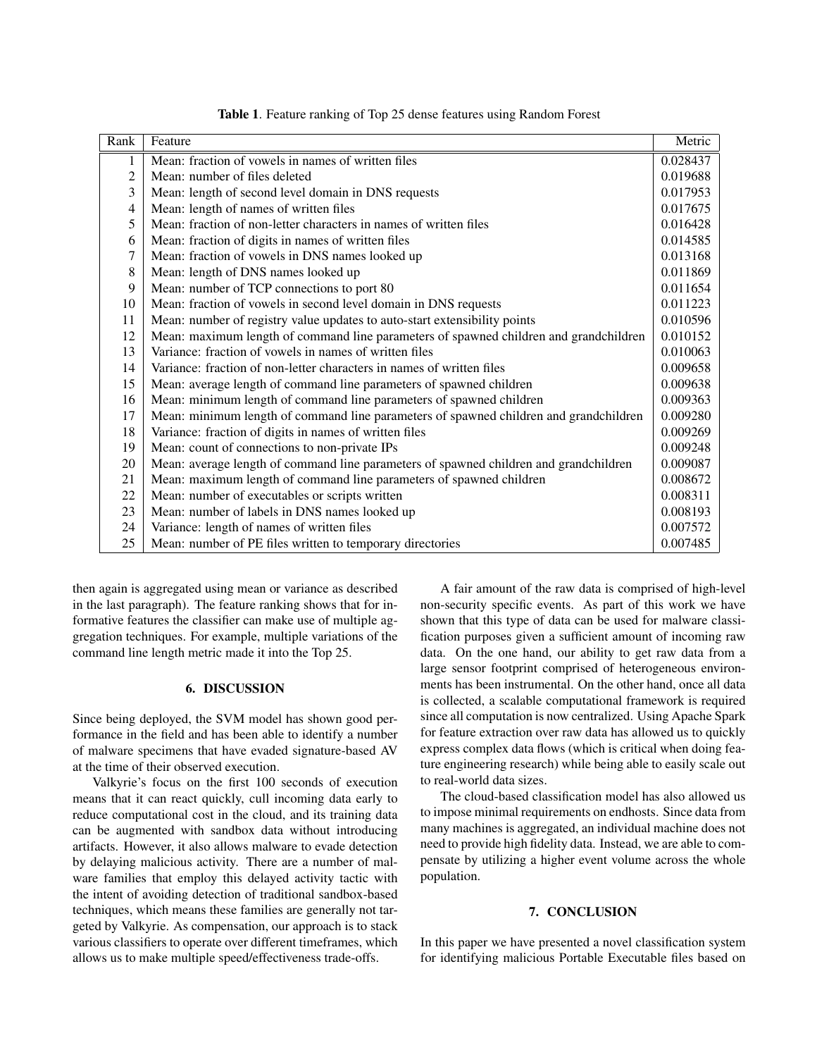| Rank           | Feature                                                                               | Metric   |
|----------------|---------------------------------------------------------------------------------------|----------|
| 1              | Mean: fraction of vowels in names of written files                                    | 0.028437 |
| $\overline{2}$ | Mean: number of files deleted                                                         | 0.019688 |
| 3              | Mean: length of second level domain in DNS requests                                   | 0.017953 |
| 4              | Mean: length of names of written files                                                | 0.017675 |
| 5              | Mean: fraction of non-letter characters in names of written files                     | 0.016428 |
| 6              | Mean: fraction of digits in names of written files                                    | 0.014585 |
| 7              | Mean: fraction of vowels in DNS names looked up                                       | 0.013168 |
| 8              | Mean: length of DNS names looked up                                                   | 0.011869 |
| 9              | Mean: number of TCP connections to port 80                                            | 0.011654 |
| 10             | Mean: fraction of vowels in second level domain in DNS requests                       | 0.011223 |
| 11             | Mean: number of registry value updates to auto-start extensibility points             | 0.010596 |
| 12             | Mean: maximum length of command line parameters of spawned children and grandchildren | 0.010152 |
| 13             | Variance: fraction of vowels in names of written files                                | 0.010063 |
| 14             | Variance: fraction of non-letter characters in names of written files                 | 0.009658 |
| 15             | Mean: average length of command line parameters of spawned children                   | 0.009638 |
| 16             | Mean: minimum length of command line parameters of spawned children                   | 0.009363 |
| 17             | Mean: minimum length of command line parameters of spawned children and grandchildren | 0.009280 |
| 18             | Variance: fraction of digits in names of written files                                | 0.009269 |
| 19             | Mean: count of connections to non-private IPs                                         | 0.009248 |
| 20             | Mean: average length of command line parameters of spawned children and grandchildren | 0.009087 |
| 21             | Mean: maximum length of command line parameters of spawned children                   | 0.008672 |
| 22             | Mean: number of executables or scripts written                                        | 0.008311 |
| 23             | Mean: number of labels in DNS names looked up                                         | 0.008193 |
| 24             | Variance: length of names of written files                                            | 0.007572 |
| 25             | Mean: number of PE files written to temporary directories                             | 0.007485 |

Table 1. Feature ranking of Top 25 dense features using Random Forest

then again is aggregated using mean or variance as described in the last paragraph). The feature ranking shows that for informative features the classifier can make use of multiple aggregation techniques. For example, multiple variations of the command line length metric made it into the Top 25.

#### 6. DISCUSSION

Since being deployed, the SVM model has shown good performance in the field and has been able to identify a number of malware specimens that have evaded signature-based AV at the time of their observed execution.

Valkyrie's focus on the first 100 seconds of execution means that it can react quickly, cull incoming data early to reduce computational cost in the cloud, and its training data can be augmented with sandbox data without introducing artifacts. However, it also allows malware to evade detection by delaying malicious activity. There are a number of malware families that employ this delayed activity tactic with the intent of avoiding detection of traditional sandbox-based techniques, which means these families are generally not targeted by Valkyrie. As compensation, our approach is to stack various classifiers to operate over different timeframes, which allows us to make multiple speed/effectiveness trade-offs.

A fair amount of the raw data is comprised of high-level non-security specific events. As part of this work we have shown that this type of data can be used for malware classification purposes given a sufficient amount of incoming raw data. On the one hand, our ability to get raw data from a large sensor footprint comprised of heterogeneous environments has been instrumental. On the other hand, once all data is collected, a scalable computational framework is required since all computation is now centralized. Using Apache Spark for feature extraction over raw data has allowed us to quickly express complex data flows (which is critical when doing feature engineering research) while being able to easily scale out to real-world data sizes.

The cloud-based classification model has also allowed us to impose minimal requirements on endhosts. Since data from many machines is aggregated, an individual machine does not need to provide high fidelity data. Instead, we are able to compensate by utilizing a higher event volume across the whole population.

#### 7. CONCLUSION

In this paper we have presented a novel classification system for identifying malicious Portable Executable files based on